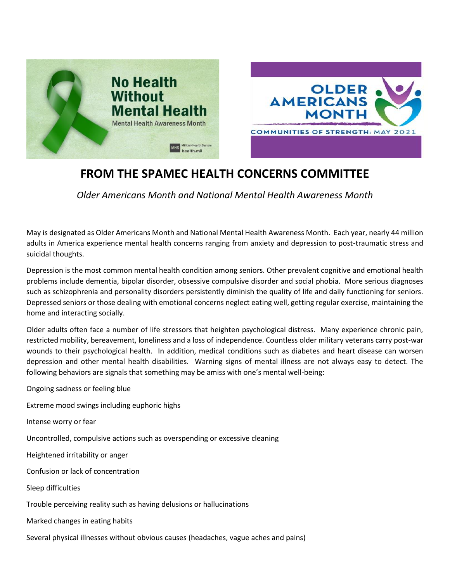



## **FROM THE SPAMEC HEALTH CONCERNS COMMITTEE**

*Older Americans Month and National Mental Health Awareness Month*

May is designated as Older Americans Month and National Mental Health Awareness Month. Each year, nearly 44 million adults in America experience mental health concerns ranging from anxiety and depression to post-traumatic stress and suicidal thoughts.

Depression is the most common mental health condition among seniors. Other prevalent cognitive and emotional health problems include dementia, bipolar disorder, obsessive compulsive disorder and social phobia. More serious diagnoses such as schizophrenia and personality disorders persistently diminish the quality of life and daily functioning for seniors. Depressed seniors or those dealing with emotional concerns neglect eating well, getting regular exercise, maintaining the home and interacting socially.

Older adults often face a number of life stressors that heighten psychological distress. Many experience chronic pain, restricted mobility, bereavement, loneliness and a loss of independence. Countless older military veterans carry post-war wounds to their psychological health. In addition, medical conditions such as diabetes and heart disease can worsen depression and other mental health disabilities. Warning signs of mental illness are not always easy to detect. The following behaviors are signals that something may be amiss with one's mental well-being:

Ongoing sadness or feeling blue

Extreme mood swings including euphoric highs

Intense worry or fear

Uncontrolled, compulsive actions such as overspending or excessive cleaning

Heightened irritability or anger

Confusion or lack of concentration

Sleep difficulties

Trouble perceiving reality such as having delusions or hallucinations

Marked changes in eating habits

Several physical illnesses without obvious causes (headaches, vague aches and pains)